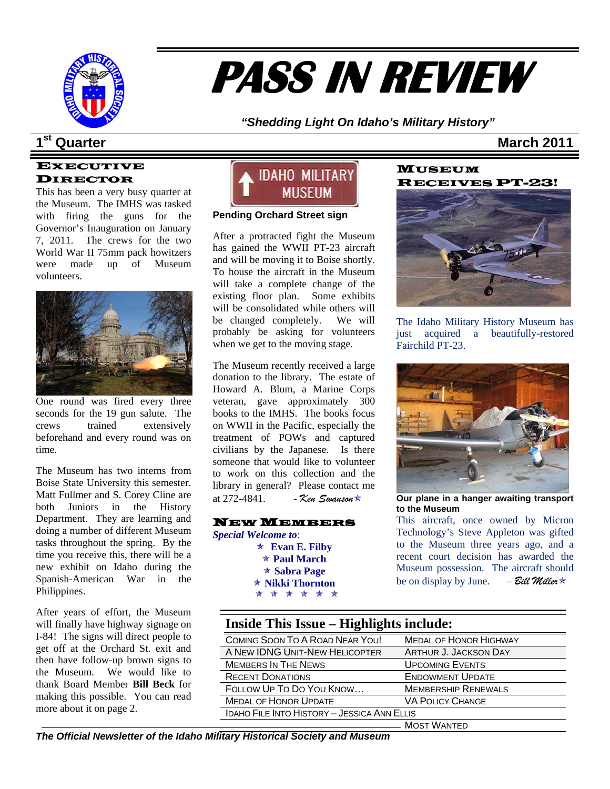

# **PASS IN REVIEW**

*"Shedding Light On Idaho's Military History"* 

## **1Statistical Contract Contract Contract Contract Contract Contract Contract Contract Contract Contract Contract Contract Contract Contract Contract Contract Contract Contract Contract Contract Contract Contract Contract**

#### EXECUTIVE DIRECTOR

were made up of Museum This has been a very busy quarter at the Museum. The IMHS was tasked with firing the guns for the Governor's Inauguration on January 7, 2011. The crews for the two World War II 75mm pack howitzers volunteers.



One round was fired every three seconds for the 19 gun salute. The crews trained extensively beforehand and every round was on time.

Spanish-American War in the The Museum has two interns from Boise State University this semester. Matt Fullmer and S. Corey Cline are both Juniors in the History Department. They are learning and doing a number of different Museum tasks throughout the spring. By the time you receive this, there will be a new exhibit on Idaho during the Philippines.

making this possible. You can read more about it on page 2. After years of effort, the Museum will finally have highway signage on I-84! The signs will direct people to get off at the Orchard St. exit and then have follow-up brown signs to the Museum. We would like to thank Board Member **Bill Beck** for



#### **ending Orchard Street sign P**

probably be asking for volunteers After a protracted fight the Museum has gained the WWII PT-23 aircraft and will be moving it to Boise shortly. To house the aircraft in the Museum will take a complete change of the existing floor plan. Some exhibits will be consolidated while others will be changed completely. We will when we get to the moving stage.

library in general? Please contact me t 272-4841. - *Ken Swanson*Õ The Museum recently received a large donation to the library. The estate of Howard A. Blum, a Marine Corps veteran, gave approximately 300 books to the IMHS. The books focus on WWII in the Pacific, especially the treatment of POWs and captured civilians by the Japanese. Is there someone that would like to volunteer to work on this collection and the at 272-4841.

#### NEW MEMBERS

*Special W elcome to*: Õ **Evan E. Filby** \* \* \* \* \* \* Õ **Paul March ★ Sabra Page** Õ **Nikki Thornton** 

#### **MUSEUM** RECEIVES PT-23!



The Idaho Military History Museum has just acquired a beautifully-restored Fairchild PT-23.



**Our plane in a hanger awaiting transport to the Museum** 

Museum possession. The aircraft should be on display by June. – *Bill Miller*  $\star$ This aircraft, once owned by Micron Technology's Steve Appleton was gifted to the Museum three years ago, and a recent court decision has awarded the

| Inside This Issue – Highlights include:     |                               |  |  |
|---------------------------------------------|-------------------------------|--|--|
| COMING SOON TO A ROAD NEAR YOU!             | <b>MEDAL OF HONOR HIGHWAY</b> |  |  |
| A NEW IDNG UNIT-NEW HELICOPTER              | ARTHUR J. JACKSON DAY         |  |  |
| <b>MEMBERS IN THE NEWS</b>                  | <b>UPCOMING EVENTS</b>        |  |  |
| <b>RECENT DONATIONS</b>                     | <b>ENDOWMENT UPDATE</b>       |  |  |
| FOLLOW UP TO DO YOU KNOW                    | <b>MEMBERSHIP RENEWALS</b>    |  |  |
| <b>MEDAL OF HONOR UPDATE</b>                | <b>VA POLICY CHANGE</b>       |  |  |
| IDAHO FILE INTO HISTORY - JESSICA ANN ELLIS |                               |  |  |
|                                             | <b>MOST WANTED</b>            |  |  |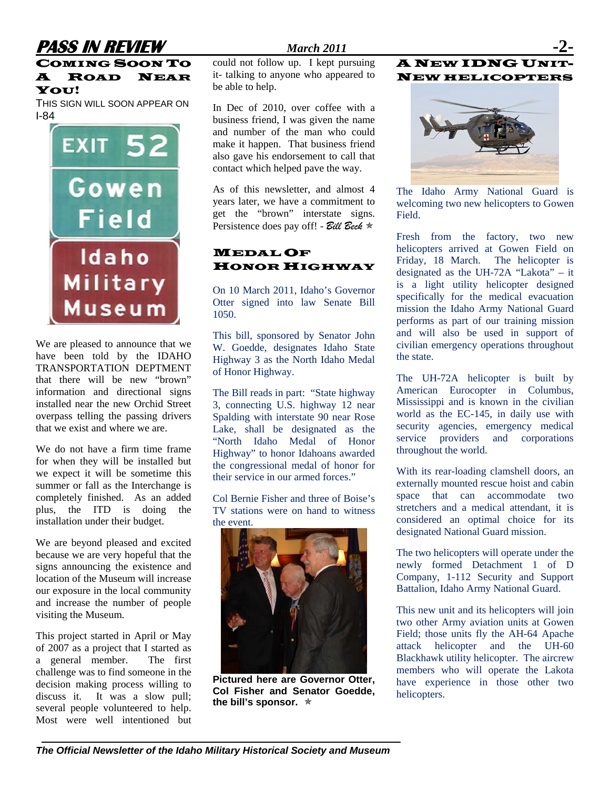## **PASS IN REVIEW** *March 2011*

#### COMING SOON TO A ROAD NEAR YOU!

THIS SIGN WILL SOON APPEAR ON I-84



We are pleased to announce that we have been told by the IDAHO TRANSPORTATION DEPTMENT that there will be new "brown" information and directional signs installed near the new Orchid Street overpass telling the passing drivers that we exist and where we are.

We do not have a firm time frame for when they will be installed but we expect it will be sometime this summer or fall as the Interchange is completely finished. As an added plus, the ITD is doing the installation under their budget.

We are beyond pleased and excited because we are very hopeful that the signs announcing the existence and location of the Museum will increase our exposure in the local community and increase the number of people visiting the Museum.

This project started in April or May of 2007 as a project that I started as a general member. The first challenge was to find someone in the decision making process willing to discuss it. It was a slow pull; several people volunteered to help. Most were well intentioned but

could not follow up. I kept pursuing it- talking to anyone who appeared to be able to help.

In Dec of 2010, over coffee with a business friend, I was given the name and number of the man who could make it happen. That business friend also gave his endorsement to call that contact which helped pave the way.

As of this newsletter, and almost 4 years later, we have a commitment to get the "brown" interstate signs. Persistence does pay off! - *Bill Beck*  $*$ 

#### MEDAL OF HONOR HIGHWAY

On 10 March 2011, Idaho's Governor Otter signed into law Senate Bill 1050.

This bill, sponsored by Senator John W. Goedde, designates Idaho State Highway 3 as the North Idaho Medal of Honor Highway.

The Bill reads in part: "State highway 3, connecting U.S. highway 12 near Spalding with interstate 90 near Rose Lake, shall be designated as the "North Idaho Medal of Honor Highway" to honor Idahoans awarded the congressional medal of honor for their service in our armed forces."

Col Bernie Fisher and three of Boise's TV stations were on hand to witness the event.



**Pictured here are Governor Otter, Col Fisher and Senator Goedde,**  the bill's sponsor.  $\ast$ 

#### A NEW IDNG UNIT-NEW HELICOPTERS



The Idaho Army National Guard is welcoming two new helicopters to Gowen Field.

Fresh from the factory, two new helicopters arrived at Gowen Field on Friday, 18 March. The helicopter is designated as the UH-72A "Lakota" – it is a light utility helicopter designed specifically for the medical evacuation mission the Idaho Army National Guard performs as part of our training mission and will also be used in support of civilian emergency operations throughout the state.

The UH-72A helicopter is built by American Eurocopter in Columbus, Mississippi and is known in the civilian world as the EC-145, in daily use with security agencies, emergency medical service providers and corporations throughout the world.

With its rear-loading clamshell doors, an externally mounted rescue hoist and cabin space that can accommodate two stretchers and a medical attendant, it is considered an optimal choice for its designated National Guard mission.

The two helicopters will operate under the newly formed Detachment 1 of D Company, 1-112 Security and Support Battalion, Idaho Army National Guard.

This new unit and its helicopters will join two other Army aviation units at Gowen Field; those units fly the AH-64 Apache attack helicopter and the UH-60 Blackhawk utility helicopter. The aircrew members who will operate the Lakota have experience in those other two helicopters.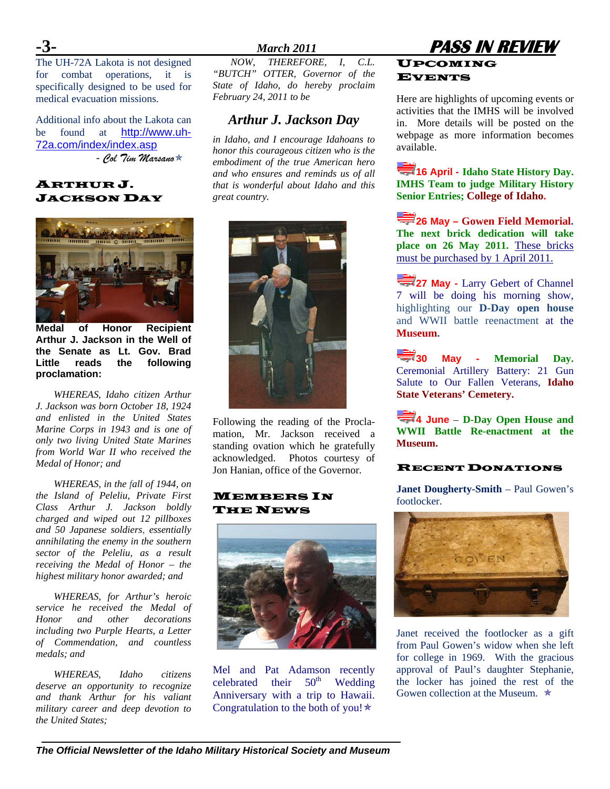The UH-72A Lakota is not designed for combat operations, it is specifically designed to be used for medical evacuation missions.

Additional info about the Lakota can be found at [http://www.uh-](http://www.uh-72a.com/index/index.asp)[72a.com/index/index.asp](http://www.uh-72a.com/index/index.asp)  - *Col Tim Marsano*Õ

#### ARTHUR J. JACKSON DAY



**Medal of Honor Recipient Arthur J. Jackson in the Well of the Senate as Lt. Gov. Brad Little reads the following proclamation:** 

*WHEREAS, Idaho citizen Arthur J. Jackson was born October 18, 1924 and enlisted in the United States Marine Corps in 1943 and is one of only two living United State Marines from World War II who received the Medal of Honor; and* 

*WHEREAS, in the fall of 1944, on the Island of Peleliu, Private First Class Arthur J. Jackson boldly charged and wiped out 12 pillboxes and 50 Japanese soldiers, essentially annihilating the enemy in the southern sector of the Peleliu, as a result receiving the Medal of Honor – the highest military honor awarded; and* 

*WHEREAS, for Arthur's heroic service he received the Medal of Honor and other decorations including two Purple Hearts, a Letter of Commendation, and countless medals; and* 

*WHEREAS, Idaho citizens deserve an opportunity to recognize and thank Arthur for his valiant military career and deep devotion to the United States;* 

*NOW, THEREFORE, I, C.L. "BUTCH" OTTER, Governor of the State of Idaho, do hereby proclaim February 24, 2011 to be* 

### *Arthur J. Jackson Day*

*in Idaho, and I encourage Idahoans to honor this courageous citizen who is the embodiment of the true American hero and who ensures and reminds us of all that is wonderful about Idaho and this great country.* 



Following the reading of the Proclamation, Mr. Jackson received a standing ovation which he gratefully acknowledged. Photos courtesy of Jon Hanian, office of the Governor.

#### MEMBERS IN THE NEWS



Mel and Pat Adamson recently celebrated their  $50<sup>th</sup>$  Wedding Anniversary with a trip to Hawaii. Congratulation to the both of you! $\star$ 

#### **-3-** *March 2011* **PASS IN REVIEW**  UPCOMING **EVENTS**

Here are highlights of upcoming events or activities that the IMHS will be involved in. More details will be posted on the webpage as more information becomes available.

**16 April - Idaho State History Day. IMHS Team to judge Military History Senior Entries; College of Idaho.** 

**26 May – Gowen Field Memorial. The next brick dedication will take place on 26 May 2011.** These bricks must be purchased by 1 April 2011.

**27 May - Larry Gebert of Channel** 7 will be doing his morning show, highlighting our **D-Day open house** and WWII battle reenactment at the **Museum.** 

**30 May - Memorial Day.**  Ceremonial Artillery Battery: 21 Gun Salute to Our Fallen Veterans, **Idaho State Veterans' Cemetery.**

**4 June** – **D-Day Open House and WWII Battle Re-enactment at the Museum.** 

#### RECENT DONATIONS

**Janet Dougherty-Smith** – Paul Gowen's footlocker.



Janet received the footlocker as a gift from Paul Gowen's widow when she left for college in 1969. With the gracious approval of Paul's daughter Stephanie, the locker has joined the rest of the Gowen collection at the Museum.  $\star$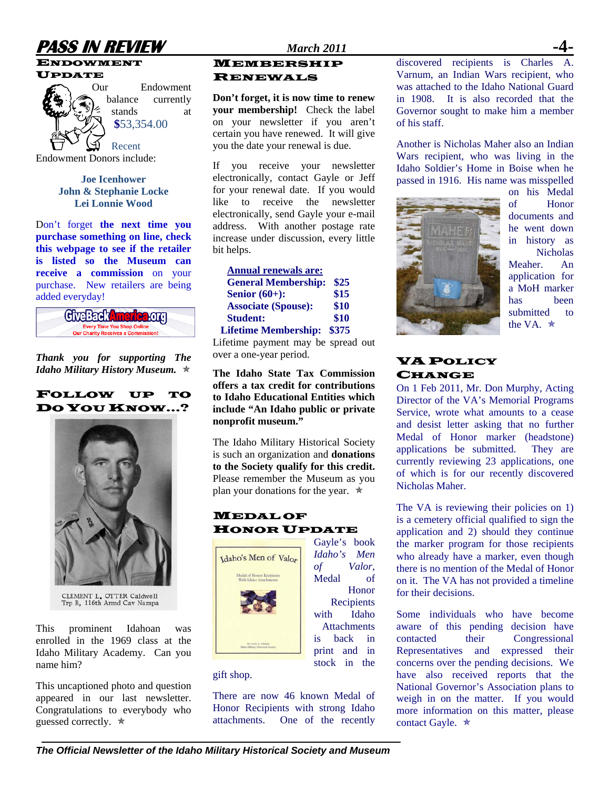

#### ENDOWMENT





Our Endowment balance currently stands at **\$**53,354.00

Recent Endowment Donors include:

> **Joe Icenhower John & Stephanie Locke Lei Lonnie Wood**

Don't forget **the next time you purchase something on line, check this webpage to see if the retailer is listed so the Museum can receive a commission** on your purchase. New retailers are being added everyday!



*Thank you for supporting The Idaho Military History Museum.*  $\star$ 

#### FOLLOW UP TO DO YOU KNOW…?



CLEMENT L. OTTER Caldwell<br>Trp B, 116th Armd Cav Nampa

This prominent Idahoan was enrolled in the 1969 class at the Idaho Military Academy. Can you name him?

This uncaptioned photo and question appeared in our last newsletter. Congratulations to everybody who guessed correctly.  $\star$ 

#### MEMBERSHIP RENEWALS

**Don't forget, it is now time to renew your membership!** Check the label on your newsletter if you aren't certain you have renewed. It will give you the date your renewal is due.

If you receive your newsletter electronically, contact Gayle or Jeff for your renewal date. If you would like to receive the newsletter electronically, send Gayle your e-mail address. With another postage rate increase under discussion, every little bit helps.

| <b>Annual renewals are:</b> |       |
|-----------------------------|-------|
| <b>General Membership:</b>  | \$25  |
| Senior $(60+)$ :            | \$15  |
| <b>Associate (Spouse):</b>  | \$10  |
| <b>Student:</b>             | \$10  |
| <b>Lifetime Membership:</b> | \$375 |

Lifetime payment may be spread out over a one-year period.

**The Idaho State Tax Commission offers a tax credit for contributions to Idaho Educational Entities which include "An Idaho public or private nonprofit museum."** 

The Idaho Military Historical Society is such an organization and **donations to the Society qualify for this credit.**  Please remember the Museum as you plan your donations for the year.  $\star$ 

> Gayle's book *Idaho's Men of Valor*, Medal of

Honor **Recipients** with Idaho **Attachments** is back in print and in stock in the

#### **MEDAL OF** HONOR UPDATE



gift shop.

There are now 46 known Medal of Honor Recipients with strong Idaho attachments. One of the recently discovered recipients is Charles A. Varnum, an Indian Wars recipient, who was attached to the Idaho National Guard in 1908. It is also recorded that the Governor sought to make him a member of his staff.

Another is Nicholas Maher also an Indian Wars recipient, who was living in the Idaho Soldier's Home in Boise when he passed in 1916. His name was misspelled



on his Medal of Honor documents and he went down in history as **Nicholas** Meaher. An application for a MoH marker has been submitted to the VA.  $\star$ 

#### **VA POLICY CHANGE**

On 1 Feb 2011, Mr. Don Murphy, Acting Director of the VA's Memorial Programs Service, wrote what amounts to a cease and desist letter asking that no further Medal of Honor marker (headstone) applications be submitted. They are currently reviewing 23 applications, one of which is for our recently discovered Nicholas Maher.

The VA is reviewing their policies on 1) is a cemetery official qualified to sign the application and 2) should they continue the marker program for those recipients who already have a marker, even though there is no mention of the Medal of Honor on it. The VA has not provided a timeline for their decisions.

Some individuals who have become aware of this pending decision have contacted their Congressional Representatives and expressed their concerns over the pending decisions. We have also received reports that the National Governor's Association plans to weigh in on the matter. If you would more information on this matter, please contact Gayle.  $\star$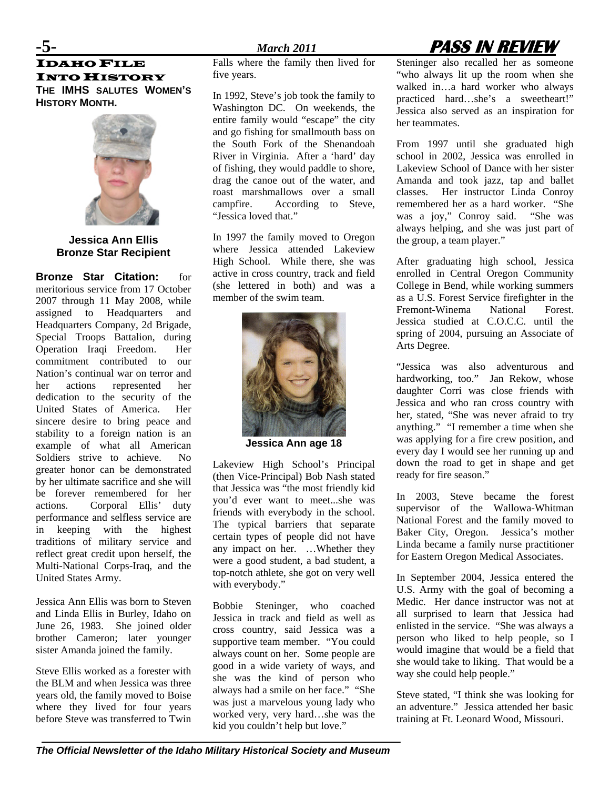IDAHO FILE INTO HISTORY **THE IMHS SALUTES WOMEN'S HISTORY MONTH.**



**Jessica Ann Ellis Bronze Star Recipient** 

**Bronze Star Citation:** for meritorious service from 17 October 2007 through 11 May 2008, while assigned to Headquarters and Headquarters Company, 2d Brigade, Special Troops Battalion, during Operation Iraqi Freedom. Her commitment contributed to our Nation's continual war on terror and her actions represented her dedication to the security of the United States of America. Her sincere desire to bring peace and stability to a foreign nation is an example of what all American Soldiers strive to achieve. No greater honor can be demonstrated by her ultimate sacrifice and she will be forever remembered for her actions. Corporal Ellis' duty performance and selfless service are in keeping with the highest traditions of military service and reflect great credit upon herself, the Multi-National Corps-Iraq, and the United States Army.

Jessica Ann Ellis was born to Steven and Linda Ellis in Burley, Idaho on June 26, 1983. She joined older brother Cameron; later younger sister Amanda joined the family.

Steve Ellis worked as a forester with the BLM and when Jessica was three years old, the family moved to Boise where they lived for four years before Steve was transferred to Twin

Falls where the family then lived for five years.

In 1992, Steve's job took the family to Washington DC. On weekends, the entire family would "escape" the city and go fishing for smallmouth bass on the South Fork of the Shenandoah River in Virginia. After a 'hard' day of fishing, they would paddle to shore, drag the canoe out of the water, and roast marshmallows over a small campfire. According to Steve, "Jessica loved that."

In 1997 the family moved to Oregon where Jessica attended Lakeview High School. While there, she was active in cross country, track and field (she lettered in both) and was a member of the swim team.



**Jessica Ann age 18** 

Lakeview High School's Principal (then Vice-Principal) Bob Nash stated that Jessica was "the most friendly kid you'd ever want to meet...she was friends with everybody in the school. The typical barriers that separate certain types of people did not have any impact on her. …Whether they were a good student, a bad student, a top-notch athlete, she got on very well with everybody."

Bobbie Steninger, who coached Jessica in track and field as well as cross country, said Jessica was a supportive team member. "You could always count on her. Some people are good in a wide variety of ways, and she was the kind of person who always had a smile on her face." "She was just a marvelous young lady who worked very, very hard…she was the kid you couldn't help but love."

Steninger also recalled her as someone "who always lit up the room when she walked in…a hard worker who always practiced hard…she's a sweetheart!" Jessica also served as an inspiration for her teammates.

From 1997 until she graduated high school in 2002, Jessica was enrolled in Lakeview School of Dance with her sister Amanda and took jazz, tap and ballet classes. Her instructor Linda Conroy remembered her as a hard worker. "She was a joy," Conroy said. "She was always helping, and she was just part of the group, a team player."

After graduating high school, Jessica enrolled in Central Oregon Community College in Bend, while working summers as a U.S. Forest Service firefighter in the Fremont-Winema National Forest. Jessica studied at C.O.C.C. until the spring of 2004, pursuing an Associate of Arts Degree.

"Jessica was also adventurous and hardworking, too." Jan Rekow, whose daughter Corri was close friends with Jessica and who ran cross country with her, stated, "She was never afraid to try anything." "I remember a time when she was applying for a fire crew position, and every day I would see her running up and down the road to get in shape and get ready for fire season."

In 2003, Steve became the forest supervisor of the Wallowa-Whitman National Forest and the family moved to Baker City, Oregon. Jessica's mother Linda became a family nurse practitioner for Eastern Oregon Medical Associates.

In September 2004, Jessica entered the U.S. Army with the goal of becoming a Medic. Her dance instructor was not at all surprised to learn that Jessica had enlisted in the service. "She was always a person who liked to help people, so I would imagine that would be a field that she would take to liking. That would be a way she could help people."

Steve stated, "I think she was looking for an adventure." Jessica attended her basic training at Ft. Leonard Wood, Missouri.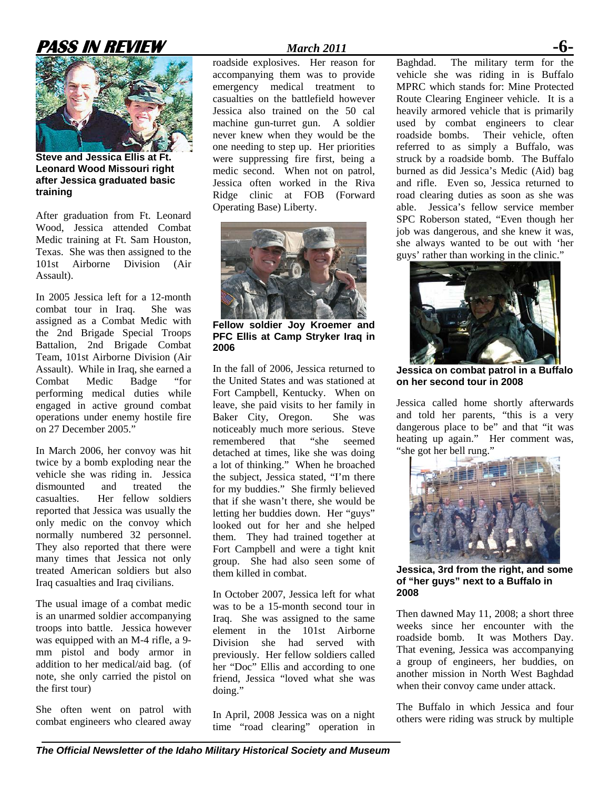## **PASS IN REVIEW** *March 2011* **-6-**



**Steve and Jessica Ellis at Ft. Leonard Wood Missouri right after Jessica graduated basic training**

After graduation from Ft. Leonard Wood, Jessica attended Combat Medic training at Ft. Sam Houston, Texas. She was then assigned to the 101st Airborne Division (Air Assault).

In 2005 Jessica left for a 12-month combat tour in Iraq. She was assigned as a Combat Medic with the 2nd Brigade Special Troops Battalion, 2nd Brigade Combat Team, 101st Airborne Division (Air Assault). While in Iraq, she earned a Combat Medic Badge "for performing medical duties while engaged in active ground combat operations under enemy hostile fire on 27 December 2005."

In March 2006, her convoy was hit twice by a bomb exploding near the vehicle she was riding in. Jessica dismounted and treated the casualties. Her fellow soldiers reported that Jessica was usually the only medic on the convoy which normally numbered 32 personnel. They also reported that there were many times that Jessica not only treated American soldiers but also Iraq casualties and Iraq civilians.

The usual image of a combat medic is an unarmed soldier accompanying troops into battle. Jessica however was equipped with an M-4 rifle, a 9 mm pistol and body armor in addition to her medical/aid bag. (of note, she only carried the pistol on the first tour)

She often went on patrol with combat engineers who cleared away

roadside explosives. Her reason for accompanying them was to provide emergency medical treatment to casualties on the battlefield however Jessica also trained on the 50 cal machine gun-turret gun. A soldier never knew when they would be the one needing to step up. Her priorities were suppressing fire first, being a medic second. When not on patrol, Jessica often worked in the Riva Ridge clinic at FOB (Forward Operating Base) Liberty.



**Fellow soldier Joy Kroemer and PFC Ellis at Camp Stryker Iraq in 2006** 

In the fall of 2006, Jessica returned to the United States and was stationed at Fort Campbell, Kentucky. When on leave, she paid visits to her family in Baker City, Oregon. She was noticeably much more serious. Steve remembered that "she seemed detached at times, like she was doing a lot of thinking." When he broached the subject, Jessica stated, "I'm there for my buddies." She firmly believed that if she wasn't there, she would be letting her buddies down. Her "guys" looked out for her and she helped them. They had trained together at Fort Campbell and were a tight knit group. She had also seen some of them killed in combat.

In October 2007, Jessica left for what was to be a 15-month second tour in Iraq. She was assigned to the same element in the 101st Airborne Division she had served with previously. Her fellow soldiers called her "Doc" Ellis and according to one friend, Jessica "loved what she was doing."

In April, 2008 Jessica was on a night time "road clearing" operation in

Baghdad. The military term for the vehicle she was riding in is Buffalo MPRC which stands for: Mine Protected Route Clearing Engineer vehicle. It is a heavily armored vehicle that is primarily used by combat engineers to clear roadside bombs. Their vehicle, often referred to as simply a Buffalo, was struck by a roadside bomb. The Buffalo burned as did Jessica's Medic (Aid) bag and rifle. Even so, Jessica returned to road clearing duties as soon as she was able. Jessica's fellow service member SPC Roberson stated, "Even though her job was dangerous, and she knew it was, she always wanted to be out with 'her guys' rather than working in the clinic."



**Jessica on combat patrol in a Buffalo on her second tour in 2008** 

Jessica called home shortly afterwards and told her parents, "this is a very dangerous place to be" and that "it was heating up again." Her comment was, "she got her bell rung."



**Jessica, 3rd from the right, and some of "her guys" next to a Buffalo in 2008** 

Then dawned May 11, 2008; a short three weeks since her encounter with the roadside bomb. It was Mothers Day. That evening, Jessica was accompanying a group of engineers, her buddies, on another mission in North West Baghdad when their convoy came under attack.

The Buffalo in which Jessica and four others were riding was struck by multiple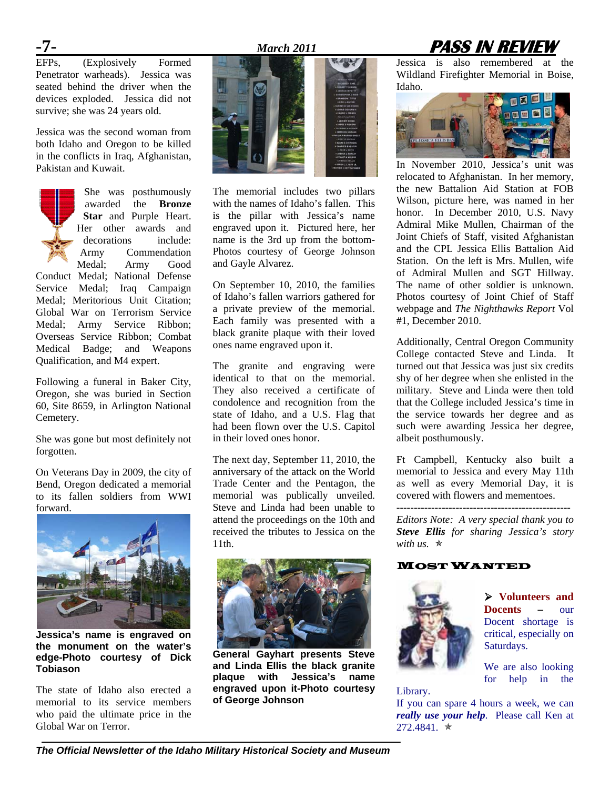# **Formed** *March 2011* **<b>PASS IN REVIEW Formed** *PASS IN REVIEW*

 $EFPs$ ,  $(Explosively)$ Penetrator warheads). Jessica was seated behind the driver when the devices exploded. Jessica did not survive; she was 24 years old.

Jessica was the second woman from both Idaho and Oregon to be killed in the conflicts in Iraq, Afghanistan, Pakistan and Kuwait.



She was posthumously awarded the **Bronze Star** and Purple Heart. Her other awards and decorations include: Army Commendation Medal; Army Good

Conduct Medal; National Defense Service Medal; Iraq Campaign Medal; Meritorious Unit Citation; Global War on Terrorism Service Medal; Army Service Ribbon; Overseas Service Ribbon; Combat Medical Badge; and Weapons Qualification, and M4 expert.

Following a funeral in Baker City, Oregon, she was buried in Section 60, Site 8659, in Arlington National Cemetery.

She was gone but most definitely not forgotten.

On Veterans Day in 2009, the city of Bend, Oregon dedicated a memorial to its fallen soldiers from WWI forward.



**Jessica's name is engraved on the monument on the water's edge-Photo courtesy of Dick Tobiason** 

The state of Idaho also erected a memorial to its service members who paid the ultimate price in the Global War on Terror.



The memorial includes two pillars with the names of Idaho's fallen. This is the pillar with Jessica's name engraved upon it. Pictured here, her name is the 3rd up from the bottom-Photos courtesy of George Johnson and Gayle Alvarez.

On September 10, 2010, the families of Idaho's fallen warriors gathered for a private preview of the memorial. Each family was presented with a black granite plaque with their loved ones name engraved upon it.

The granite and engraving were identical to that on the memorial. They also received a certificate of condolence and recognition from the state of Idaho, and a U.S. Flag that had been flown over the U.S. Capitol in their loved ones honor.

The next day, September 11, 2010, the anniversary of the attack on the World Trade Center and the Pentagon, the memorial was publically unveiled. Steve and Linda had been unable to attend the proceedings on the 10th and received the tributes to Jessica on the 11th.



**General Gayhart presents Steve and Linda Ellis the black granite plaque with Jessica's name engraved upon it-Photo courtesy of George Johnson** 

Jessica is also remembered at the Wildland Firefighter Memorial in Boise, Idaho.



In November 2010, Jessica's unit was relocated to Afghanistan. In her memory, the new Battalion Aid Station at FOB Wilson, picture here, was named in her honor. In December 2010, U.S. Navy Admiral Mike Mullen, Chairman of the Joint Chiefs of Staff, visited Afghanistan and the CPL Jessica Ellis Battalion Aid Station. On the left is Mrs. Mullen, wife of Admiral Mullen and SGT Hillway. The name of other soldier is unknown. Photos courtesy of Joint Chief of Staff webpage and *The Nighthawks Report* Vol #1, December 2010.

Additionally, Central Oregon Community College contacted Steve and Linda. It turned out that Jessica was just six credits shy of her degree when she enlisted in the military. Steve and Linda were then told that the College included Jessica's time in the service towards her degree and as such were awarding Jessica her degree, albeit posthumously.

Ft Campbell, Kentucky also built a memorial to Jessica and every May 11th as well as every Memorial Day, it is covered with flowers and mementoes.

*Editors Note: A very special thank you to Steve Ellis for sharing Jessica's story with us.*  $\ast$ 

#### MOST WANTED



¾ **Volunteers and Docents –** our Docent shortage is critical, especially on Saturdays.

We are also looking for help in the

#### Library.

If you can spare 4 hours a week, we can *really use your help*. Please call Ken at  $272.4841.$   $\star$